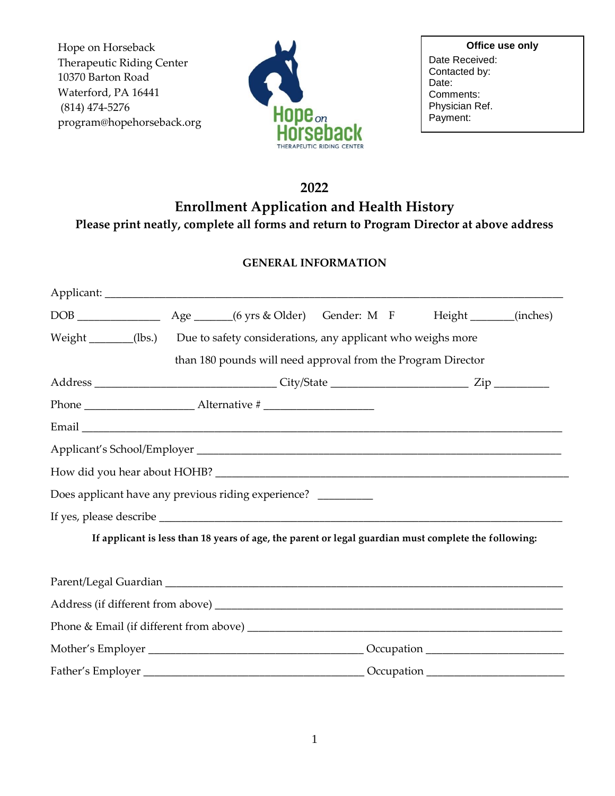Hope on Horseback Therapeutic Riding Center 10370 Barton Road Waterford, PA 16441 (814) 474-5276 program@hopehorseback.org



**Office use only** Date Received: Contacted by: Date: Comments: Physician Ref. Payment:

# **2022**

**Enrollment Application and Health History**

**Please print neatly, complete all forms and return to Program Director at above address**

## **GENERAL INFORMATION**

| Weight _______(lbs.) Due to safety considerations, any applicant who weighs more |  |                                                                                                      |  |  |  |  |
|----------------------------------------------------------------------------------|--|------------------------------------------------------------------------------------------------------|--|--|--|--|
|                                                                                  |  | than 180 pounds will need approval from the Program Director                                         |  |  |  |  |
|                                                                                  |  |                                                                                                      |  |  |  |  |
|                                                                                  |  |                                                                                                      |  |  |  |  |
|                                                                                  |  |                                                                                                      |  |  |  |  |
|                                                                                  |  |                                                                                                      |  |  |  |  |
|                                                                                  |  |                                                                                                      |  |  |  |  |
| Does applicant have any previous riding experience? ________                     |  |                                                                                                      |  |  |  |  |
|                                                                                  |  |                                                                                                      |  |  |  |  |
|                                                                                  |  | If applicant is less than 18 years of age, the parent or legal guardian must complete the following: |  |  |  |  |
|                                                                                  |  |                                                                                                      |  |  |  |  |
|                                                                                  |  |                                                                                                      |  |  |  |  |
|                                                                                  |  |                                                                                                      |  |  |  |  |
|                                                                                  |  |                                                                                                      |  |  |  |  |
|                                                                                  |  |                                                                                                      |  |  |  |  |
|                                                                                  |  |                                                                                                      |  |  |  |  |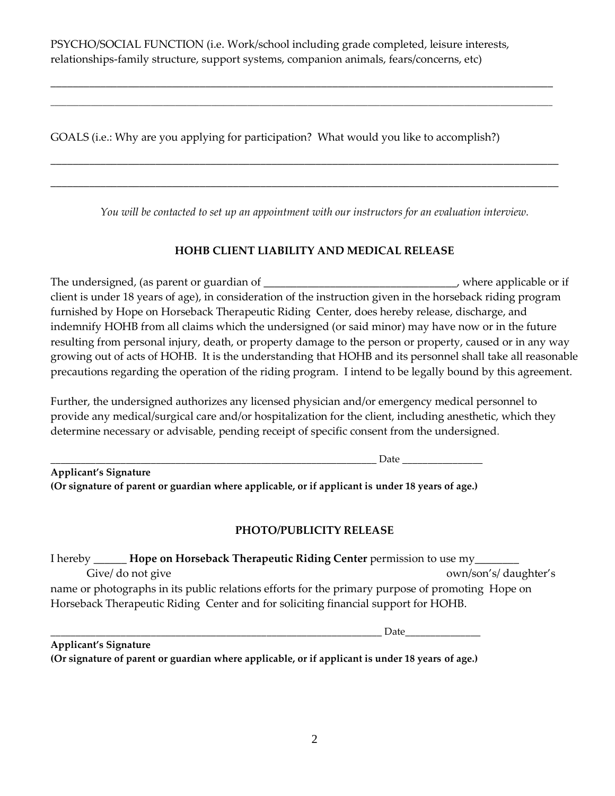PSYCHO/SOCIAL FUNCTION (i.e. Work/school including grade completed, leisure interests, relationships-family structure, support systems, companion animals, fears/concerns, etc)

\_\_\_\_\_\_\_\_\_\_\_\_\_\_\_\_\_\_\_\_\_\_\_\_\_\_\_\_\_\_\_\_\_\_\_\_\_\_\_\_\_\_\_\_\_\_\_\_\_\_\_\_\_\_\_\_\_\_\_\_\_\_\_\_\_\_\_\_\_\_\_\_\_\_\_\_\_\_\_\_\_\_\_\_\_\_\_\_\_\_\_ \_\_\_\_\_\_\_\_\_\_\_\_\_\_\_\_\_\_\_\_\_\_\_\_\_\_\_\_\_\_\_\_\_\_\_\_\_\_\_\_\_\_\_\_\_\_\_\_\_\_\_\_\_\_\_\_\_\_\_\_\_\_\_\_\_\_\_\_\_\_\_\_\_\_\_\_\_\_\_\_\_\_\_\_\_\_\_\_\_\_\_\_\_\_\_\_\_\_\_\_\_\_\_\_\_\_\_\_\_\_\_\_\_\_\_\_\_\_\_\_\_\_\_\_\_

GOALS (i.e.: Why are you applying for participation? What would you like to accomplish?)

*You will be contacted to set up an appointment with our instructors for an evaluation interview.*

\_\_\_\_\_\_\_\_\_\_\_\_\_\_\_\_\_\_\_\_\_\_\_\_\_\_\_\_\_\_\_\_\_\_\_\_\_\_\_\_\_\_\_\_\_\_\_\_\_\_\_\_\_\_\_\_\_\_\_\_\_\_\_\_\_\_\_\_\_\_\_\_\_\_\_\_\_\_\_\_\_\_\_\_\_\_\_\_\_\_\_\_

\_\_\_\_\_\_\_\_\_\_\_\_\_\_\_\_\_\_\_\_\_\_\_\_\_\_\_\_\_\_\_\_\_\_\_\_\_\_\_\_\_\_\_\_\_\_\_\_\_\_\_\_\_\_\_\_\_\_\_\_\_\_\_\_\_\_\_\_\_\_\_\_\_\_\_\_\_\_\_\_\_\_\_\_\_\_\_\_\_\_\_\_

## **HOHB CLIENT LIABILITY AND MEDICAL RELEASE**

The undersigned, (as parent or guardian of \_\_\_\_\_\_\_\_\_\_\_\_\_\_\_\_\_\_\_\_\_\_\_\_\_\_\_\_\_\_, where applicable or if client is under 18 years of age), in consideration of the instruction given in the horseback riding program furnished by Hope on Horseback Therapeutic Riding Center, does hereby release, discharge, and indemnify HOHB from all claims which the undersigned (or said minor) may have now or in the future resulting from personal injury, death, or property damage to the person or property, caused or in any way growing out of acts of HOHB. It is the understanding that HOHB and its personnel shall take all reasonable precautions regarding the operation of the riding program. I intend to be legally bound by this agreement.

Further, the undersigned authorizes any licensed physician and/or emergency medical personnel to provide any medical/surgical care and/or hospitalization for the client, including anesthetic, which they determine necessary or advisable, pending receipt of specific consent from the undersigned.

| Date                                                                                             |  |
|--------------------------------------------------------------------------------------------------|--|
| <b>Applicant's Signature</b>                                                                     |  |
| (Or signature of parent or guardian where applicable, or if applicant is under 18 years of age.) |  |

## **PHOTO/PUBLICITY RELEASE**

I hereby \_\_\_\_\_\_ **Hope on Horseback Therapeutic Riding Center** permission to use my\_\_\_\_\_\_\_\_ Give/ do not give states own/son's/ daughter's name or photographs in its public relations efforts for the primary purpose of promoting Hope on Horseback Therapeutic Riding Center and for soliciting financial support for HOHB.

\_\_\_\_\_\_\_\_\_\_\_\_\_\_\_\_\_\_\_\_\_\_\_\_\_\_\_\_\_\_\_\_\_\_\_\_\_\_\_\_\_\_\_\_\_\_\_\_\_\_\_\_\_\_\_\_\_\_\_\_\_\_\_\_\_\_ Date\_\_\_\_\_\_\_\_\_\_\_\_\_\_\_

| <b>Applicant's Signature</b>                                                                     |  |  |
|--------------------------------------------------------------------------------------------------|--|--|
| (Or signature of parent or guardian where applicable, or if applicant is under 18 years of age.) |  |  |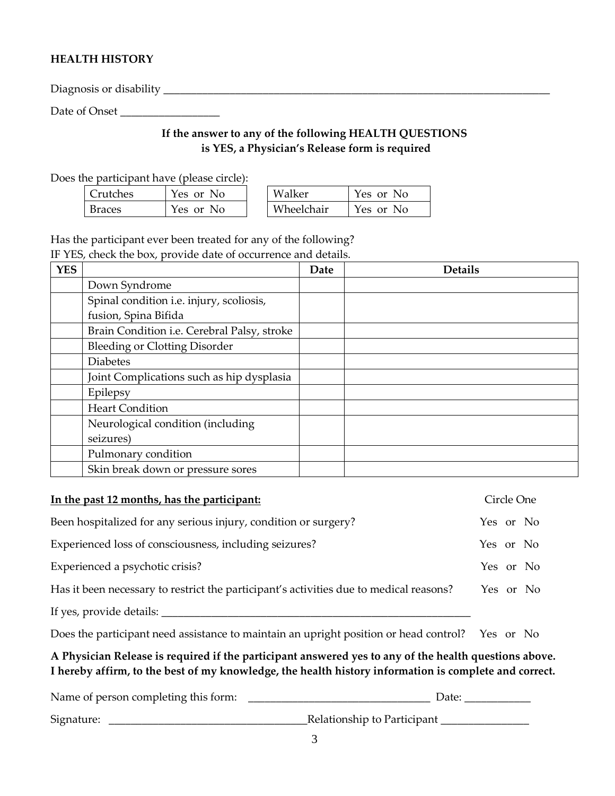## **HEALTH HISTORY**

Diagnosis or disability \_\_\_\_\_\_\_\_\_\_\_\_\_\_\_\_\_\_\_\_\_\_\_\_\_\_\_\_\_\_\_\_\_\_\_\_\_\_\_\_\_\_\_\_\_\_\_\_\_\_\_\_\_\_\_\_\_\_\_\_\_\_\_\_\_\_\_\_\_\_

Date of Onset \_\_\_\_\_\_\_\_\_\_\_\_\_\_\_\_\_\_

# **If the answer to any of the following HEALTH QUESTIONS is YES, a Physician's Release form is required**

Does the participant have (please circle):

| Crutches      | Yes or No | Walker     | Yes or No |
|---------------|-----------|------------|-----------|
| <b>Braces</b> | Yes or No | Wheelchair | Yes or No |

Has the participant ever been treated for any of the following? IF YES, check the box, provide date of occurrence and details.

| <b>YES</b> |                                             | Date | <b>Details</b> |
|------------|---------------------------------------------|------|----------------|
|            | Down Syndrome                               |      |                |
|            | Spinal condition i.e. injury, scoliosis,    |      |                |
|            | fusion, Spina Bifida                        |      |                |
|            | Brain Condition i.e. Cerebral Palsy, stroke |      |                |
|            | <b>Bleeding or Clotting Disorder</b>        |      |                |
|            | <b>Diabetes</b>                             |      |                |
|            | Joint Complications such as hip dysplasia   |      |                |
|            | Epilepsy                                    |      |                |
|            | <b>Heart Condition</b>                      |      |                |
|            | Neurological condition (including           |      |                |
|            | seizures)                                   |      |                |
|            | Pulmonary condition                         |      |                |
|            | Skin break down or pressure sores           |      |                |

| In the past 12 months, has the participant:                                                                                                                                                                    | Circle One |  |  |  |
|----------------------------------------------------------------------------------------------------------------------------------------------------------------------------------------------------------------|------------|--|--|--|
| Been hospitalized for any serious injury, condition or surgery?                                                                                                                                                | Yes or No  |  |  |  |
| Experienced loss of consciousness, including seizures?                                                                                                                                                         | Yes or No  |  |  |  |
| Experienced a psychotic crisis?                                                                                                                                                                                | Yes or No  |  |  |  |
| Has it been necessary to restrict the participant's activities due to medical reasons?                                                                                                                         | Yes or No  |  |  |  |
| If yes, provide details:                                                                                                                                                                                       |            |  |  |  |
| Does the participant need assistance to maintain an upright position or head control? Yes or No                                                                                                                |            |  |  |  |
| A Physician Release is required if the participant answered yes to any of the health questions above.<br>I hereby affirm, to the best of my knowledge, the health history information is complete and correct. |            |  |  |  |

| Name of person completing this form: | Date:                       |
|--------------------------------------|-----------------------------|
| Signature:                           | Relationship to Participant |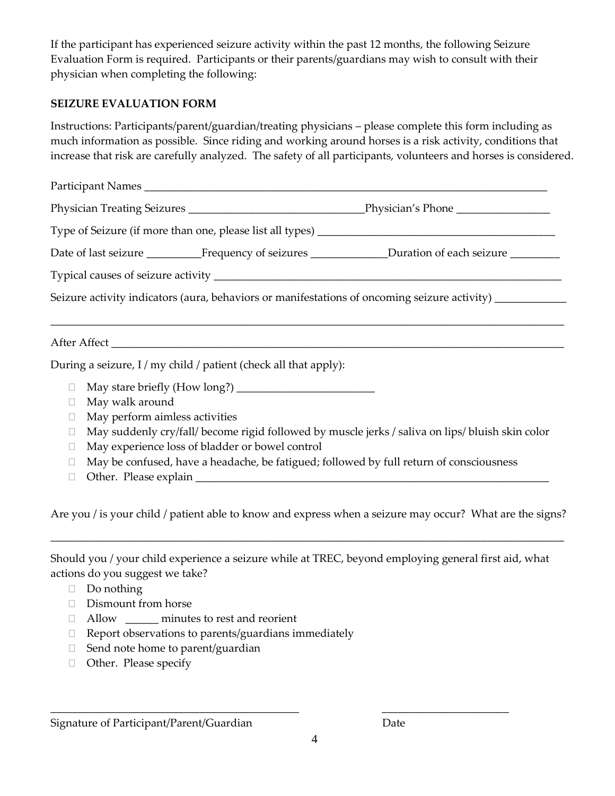If the participant has experienced seizure activity within the past 12 months, the following Seizure Evaluation Form is required. Participants or their parents/guardians may wish to consult with their physician when completing the following:

#### **SEIZURE EVALUATION FORM**

Instructions: Participants/parent/guardian/treating physicians – please complete this form including as much information as possible. Since riding and working around horses is a risk activity, conditions that increase that risk are carefully analyzed. The safety of all participants, volunteers and horses is considered.

| Date of last seizure ___________________Frequency of seizures __________________Duration of each seizure __________ |  |  |  |  |  |
|---------------------------------------------------------------------------------------------------------------------|--|--|--|--|--|
|                                                                                                                     |  |  |  |  |  |
| Seizure activity indicators (aura, behaviors or manifestations of oncoming seizure activity) ____________           |  |  |  |  |  |
|                                                                                                                     |  |  |  |  |  |
|                                                                                                                     |  |  |  |  |  |
| During a seizure, I / my child / patient (check all that apply):                                                    |  |  |  |  |  |

- May stare briefly (How long?) \_\_\_\_\_\_\_\_\_\_\_\_\_\_\_\_\_\_\_\_\_\_\_\_\_
- May walk around
- $\Box$  May perform aimless activities
- $\Box$  May suddenly cry/fall/ become rigid followed by muscle jerks / saliva on lips/ bluish skin color
- May experience loss of bladder or bowel control
- $\Box$  May be confused, have a headache, be fatigued; followed by full return of consciousness
- $\Box$  Other. Please explain  $\Box$

Are you / is your child / patient able to know and express when a seizure may occur? What are the signs?

\_\_\_\_\_\_\_\_\_\_\_\_\_\_\_\_\_\_\_\_\_\_\_\_\_\_\_\_\_\_\_\_\_\_\_\_\_\_\_\_\_\_\_\_\_\_\_\_\_\_\_\_\_\_\_\_\_\_\_\_\_\_\_\_\_\_\_\_\_\_\_\_\_\_\_\_\_\_\_\_\_\_\_\_\_\_\_\_\_\_\_\_\_

Should you / your child experience a seizure while at TREC, beyond employing general first aid, what actions do you suggest we take?

- $\Box$  Do nothing
- Dismount from horse
- Allow \_\_\_\_\_\_ minutes to rest and reorient
- $\Box$  Report observations to parents/guardians immediately
- $\Box$  Send note home to parent/guardian
- Other. Please specify

Signature of Participant/Parent/Guardian Date

\_\_\_\_\_\_\_\_\_\_\_\_\_\_\_\_\_\_\_\_\_\_\_\_\_\_\_\_\_\_\_\_\_\_\_\_\_\_\_\_\_\_\_\_\_ \_\_\_\_\_\_\_\_\_\_\_\_\_\_\_\_\_\_\_\_\_\_\_